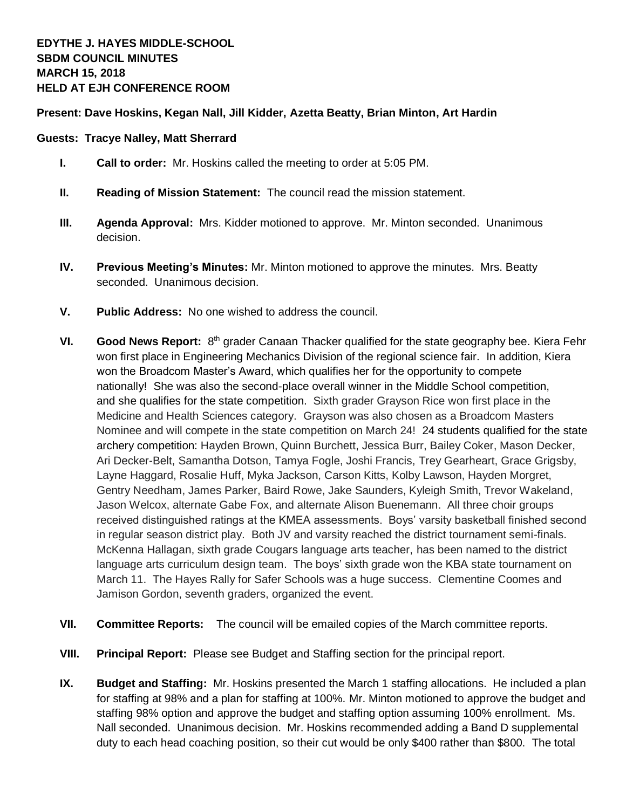## **Present: Dave Hoskins, Kegan Nall, Jill Kidder, Azetta Beatty, Brian Minton, Art Hardin**

## **Guests: Tracye Nalley, Matt Sherrard**

- **I. Call to order:** Mr. Hoskins called the meeting to order at 5:05 PM.
- **II. Reading of Mission Statement:** The council read the mission statement.
- **III. Agenda Approval:** Mrs. Kidder motioned to approve. Mr. Minton seconded. Unanimous decision.
- **IV. Previous Meeting's Minutes:** Mr. Minton motioned to approve the minutes. Mrs. Beatty seconded. Unanimous decision.
- **V. Public Address:** No one wished to address the council.
- **VI.** Good News Report: 8<sup>th</sup> grader Canaan Thacker qualified for the state geography bee. Kiera Fehr won first place in Engineering Mechanics Division of the regional science fair. In addition, Kiera won the Broadcom Master's Award, which qualifies her for the opportunity to compete nationally! She was also the second-place overall winner in the Middle School competition, and she qualifies for the state competition. Sixth grader Grayson Rice won first place in the Medicine and Health Sciences category. Grayson was also chosen as a Broadcom Masters Nominee and will compete in the state competition on March 24! 24 students qualified for the state archery competition: Hayden Brown, Quinn Burchett, Jessica Burr, Bailey Coker, Mason Decker, Ari Decker-Belt, Samantha Dotson, Tamya Fogle, Joshi Francis, Trey Gearheart, Grace Grigsby, Layne Haggard, Rosalie Huff, Myka Jackson, Carson Kitts, Kolby Lawson, Hayden Morgret, Gentry Needham, James Parker, Baird Rowe, Jake Saunders, Kyleigh Smith, Trevor Wakeland, Jason Welcox, alternate Gabe Fox, and alternate Alison Buenemann. All three choir groups received distinguished ratings at the KMEA assessments. Boys' varsity basketball finished second in regular season district play. Both JV and varsity reached the district tournament semi-finals. McKenna Hallagan, sixth grade Cougars language arts teacher, has been named to the district language arts curriculum design team. The boys' sixth grade won the KBA state tournament on March 11. The Hayes Rally for Safer Schools was a huge success. Clementine Coomes and Jamison Gordon, seventh graders, organized the event.
- **VII. Committee Reports:** The council will be emailed copies of the March committee reports.
- **VIII. Principal Report:** Please see Budget and Staffing section for the principal report.
- **IX. Budget and Staffing:** Mr. Hoskins presented the March 1 staffing allocations. He included a plan for staffing at 98% and a plan for staffing at 100%. Mr. Minton motioned to approve the budget and staffing 98% option and approve the budget and staffing option assuming 100% enrollment. Ms. Nall seconded. Unanimous decision. Mr. Hoskins recommended adding a Band D supplemental duty to each head coaching position, so their cut would be only \$400 rather than \$800. The total